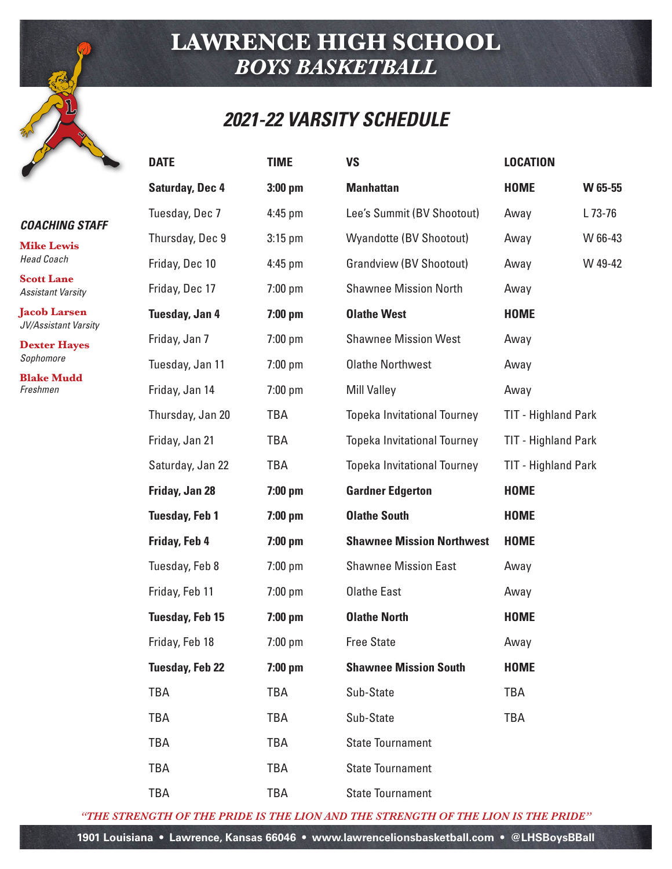#### *2021-22 VARSITY SCHEDULE*

| <b>COACHING STAFF</b> |  |
|-----------------------|--|
|                       |  |

**Mike Lewis** *Head Coach*

**Scott Lane** *Assistant Varsity*

**Jacob Larsen** *JV/Assistant Varsity*

**Dexter Hayes** *Sophomore*

**Blake Mudd** *Freshmen*

| <b>DATE</b>            | <b>TIME</b> | <b>VS</b>                          | <b>LOCATION</b>            |         |
|------------------------|-------------|------------------------------------|----------------------------|---------|
| <b>Saturday, Dec 4</b> | $3:00$ pm   | <b>Manhattan</b>                   | <b>HOME</b>                | W 65-55 |
| Tuesday, Dec 7         | 4:45 pm     | Lee's Summit (BV Shootout)         | Away                       | L 73-76 |
| Thursday, Dec 9        | $3:15$ pm   | <b>Wyandotte (BV Shootout)</b>     | Away                       | W 66-43 |
| Friday, Dec 10         | $4:45$ pm   | <b>Grandview (BV Shootout)</b>     | Away                       | W 49-42 |
| Friday, Dec 17         | $7:00$ pm   | <b>Shawnee Mission North</b>       | Away                       |         |
| Tuesday, Jan 4         | $7:00$ pm   | <b>Olathe West</b>                 | <b>HOME</b>                |         |
| Friday, Jan 7          | $7:00$ pm   | <b>Shawnee Mission West</b>        | Away                       |         |
| Tuesday, Jan 11        | 7:00 pm     | <b>Olathe Northwest</b>            | Away                       |         |
| Friday, Jan 14         | $7:00$ pm   | <b>Mill Valley</b>                 | Away                       |         |
| Thursday, Jan 20       | <b>TBA</b>  | <b>Topeka Invitational Tourney</b> | <b>TIT - Highland Park</b> |         |
| Friday, Jan 21         | TBA         | <b>Topeka Invitational Tourney</b> | <b>TIT - Highland Park</b> |         |
| Saturday, Jan 22       | TBA         | <b>Topeka Invitational Tourney</b> | <b>TIT - Highland Park</b> |         |
| Friday, Jan 28         | $7:00$ pm   | <b>Gardner Edgerton</b>            | <b>HOME</b>                |         |
| <b>Tuesday, Feb 1</b>  | $7:00$ pm   | <b>Olathe South</b>                | <b>HOME</b>                |         |
| Friday, Feb 4          | $7:00$ pm   | <b>Shawnee Mission Northwest</b>   | <b>HOME</b>                |         |
| Tuesday, Feb 8         | $7:00$ pm   | <b>Shawnee Mission East</b>        | Away                       |         |
| Friday, Feb 11         | $7:00$ pm   | <b>Olathe East</b>                 | Away                       |         |
| <b>Tuesday, Feb 15</b> | $7:00$ pm   | <b>Olathe North</b>                | <b>HOME</b>                |         |
| Friday, Feb 18         | 7:00 pm     | <b>Free State</b>                  | Away                       |         |
| <b>Tuesday, Feb 22</b> | $7:00$ pm   | <b>Shawnee Mission South</b>       | <b>HOME</b>                |         |
| TBA                    | TBA         | Sub-State                          | <b>TBA</b>                 |         |
| <b>TBA</b>             | TBA         | Sub-State                          | <b>TBA</b>                 |         |
| TBA                    | TBA         | <b>State Tournament</b>            |                            |         |
| TBA                    | <b>TBA</b>  | <b>State Tournament</b>            |                            |         |
| TBA                    | TBA         | <b>State Tournament</b>            |                            |         |

*"THE STRENGTH OF THE PRIDE IS THE LION AND THE STRENGTH OF THE LION IS THE PRIDE"*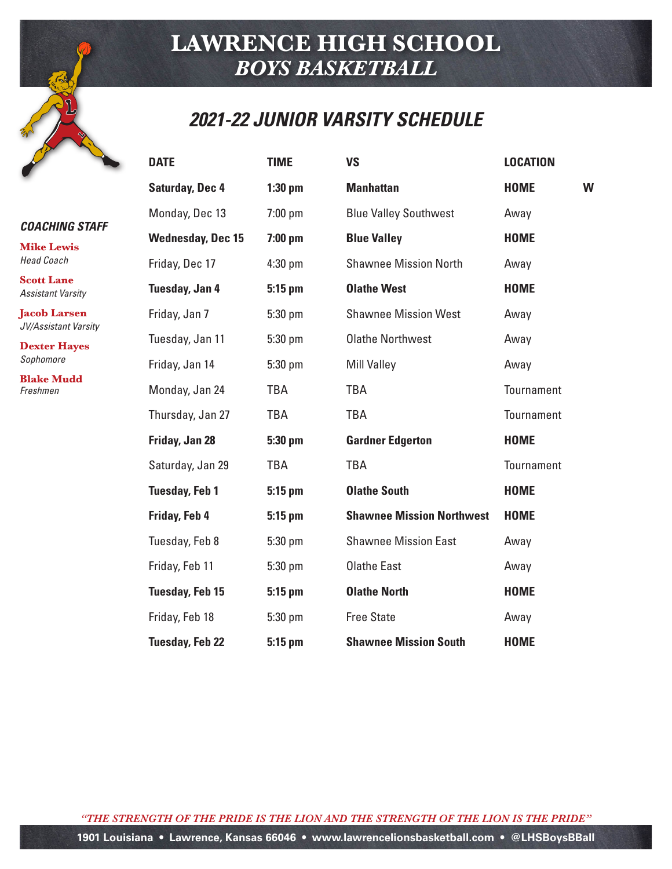### *2021-22 JUNIOR VARSITY SCHEDULE*

#### *COACHING STAFF*

**Mike Lewis** *Head Coach*

**Scott Lane** *Assistant Varsity*

**Jacob Larsen** *JV/Assistant Varsity*

**Dexter Hayes** *Sophomore*

**Blake Mudd** *Freshmen*

| <b>DATE</b>              | <b>TIME</b> | <b>VS</b>                        | <b>LOCATION</b> |   |
|--------------------------|-------------|----------------------------------|-----------------|---|
| <b>Saturday, Dec 4</b>   | $1:30$ pm   | <b>Manhattan</b>                 | <b>HOME</b>     | W |
| Monday, Dec 13           | $7:00$ pm   | <b>Blue Valley Southwest</b>     | Away            |   |
| <b>Wednesday, Dec 15</b> | $7:00$ pm   | <b>Blue Valley</b>               | <b>HOME</b>     |   |
| Friday, Dec 17           | 4:30 pm     | <b>Shawnee Mission North</b>     | Away            |   |
| Tuesday, Jan 4           | 5:15 pm     | <b>Olathe West</b>               | <b>HOME</b>     |   |
| Friday, Jan 7            | 5:30 pm     | <b>Shawnee Mission West</b>      | Away            |   |
| Tuesday, Jan 11          | 5:30 pm     | <b>Olathe Northwest</b>          | Away            |   |
| Friday, Jan 14           | 5:30 pm     | <b>Mill Valley</b>               | Away            |   |
| Monday, Jan 24           | <b>TBA</b>  | <b>TBA</b>                       | Tournament      |   |
| Thursday, Jan 27         | TBA         | <b>TBA</b>                       | Tournament      |   |
| Friday, Jan 28           | 5:30 pm     | <b>Gardner Edgerton</b>          | <b>HOME</b>     |   |
| Saturday, Jan 29         | <b>TBA</b>  | <b>TBA</b>                       | Tournament      |   |
| <b>Tuesday, Feb 1</b>    | 5:15 pm     | <b>Olathe South</b>              | <b>HOME</b>     |   |
| Friday, Feb 4            | $5:15$ pm   | <b>Shawnee Mission Northwest</b> | <b>HOME</b>     |   |
| Tuesday, Feb 8           | 5:30 pm     | <b>Shawnee Mission East</b>      | Away            |   |
| Friday, Feb 11           | 5:30 pm     | <b>Olathe East</b>               | Away            |   |
| <b>Tuesday, Feb 15</b>   | 5:15 pm     | <b>Olathe North</b>              | <b>HOME</b>     |   |
| Friday, Feb 18           | 5:30 pm     | <b>Free State</b>                | Away            |   |
| <b>Tuesday, Feb 22</b>   | $5:15$ pm   | <b>Shawnee Mission South</b>     | <b>HOME</b>     |   |

*"THE STRENGTH OF THE PRIDE IS THE LION AND THE STRENGTH OF THE LION IS THE PRIDE"* **1901 Louisiana • Lawrence, Kansas 66046 • www.lawrencelionsbasketball.com • @LHSBoysBBall**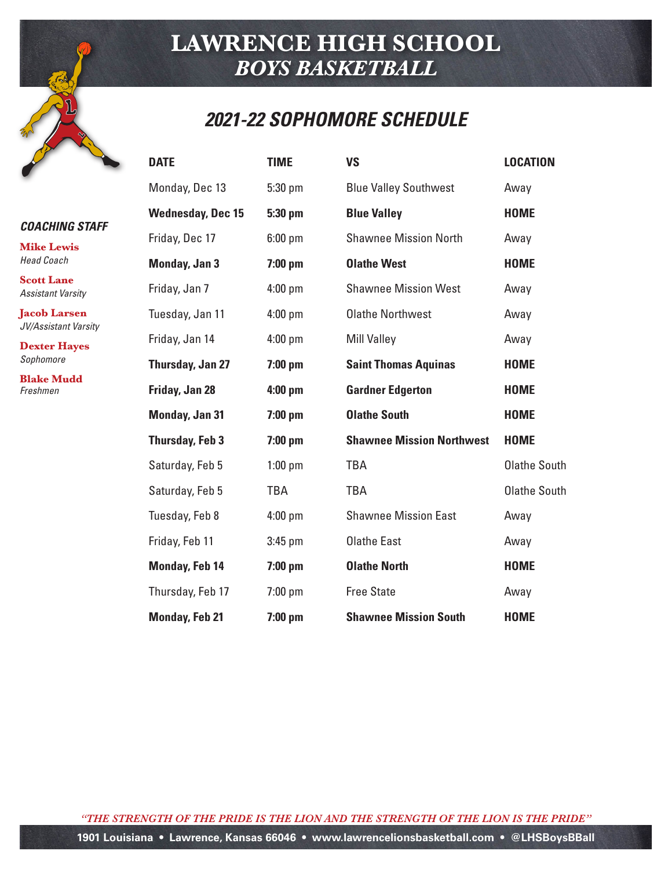### *2021-22 SOPHOMORE SCHEDULE*

|  | <b>COACHING STAFF</b> |
|--|-----------------------|
|  |                       |

**Mike Lewis** *Head Coach*

**Scott Lane** *Assistant Varsity*

**Jacob Larsen** *JV/Assistant Varsity*

**Dexter Hayes** *Sophomore*

**Blake Mudd** *Freshmen*

| <b>DATE</b>              | <b>TIME</b> | <b>VS</b>                        | <b>LOCATION</b>     |
|--------------------------|-------------|----------------------------------|---------------------|
| Monday, Dec 13           | 5:30 pm     | <b>Blue Valley Southwest</b>     | Away                |
| <b>Wednesday, Dec 15</b> | 5:30 pm     | <b>Blue Valley</b>               | <b>HOME</b>         |
| Friday, Dec 17           | $6:00$ pm   | <b>Shawnee Mission North</b>     | Away                |
| Monday, Jan 3            | $7:00$ pm   | <b>Olathe West</b>               | <b>HOME</b>         |
| Friday, Jan 7            | $4:00$ pm   | <b>Shawnee Mission West</b>      | Away                |
| Tuesday, Jan 11          | $4:00$ pm   | <b>Olathe Northwest</b>          | Away                |
| Friday, Jan 14           | $4:00$ pm   | <b>Mill Valley</b>               | Away                |
| Thursday, Jan 27         | $7:00$ pm   | <b>Saint Thomas Aquinas</b>      | <b>HOME</b>         |
| Friday, Jan 28           | $4:00$ pm   | <b>Gardner Edgerton</b>          | <b>HOME</b>         |
| Monday, Jan 31           | $7:00$ pm   | <b>Olathe South</b>              | <b>HOME</b>         |
| <b>Thursday, Feb 3</b>   | $7:00$ pm   | <b>Shawnee Mission Northwest</b> | <b>HOME</b>         |
| Saturday, Feb 5          | $1:00$ pm   | <b>TBA</b>                       | <b>Olathe South</b> |
| Saturday, Feb 5          | <b>TBA</b>  | <b>TBA</b>                       | <b>Olathe South</b> |
| Tuesday, Feb 8           | $4:00$ pm   | <b>Shawnee Mission East</b>      | Away                |
| Friday, Feb 11           | $3:45$ pm   | <b>Olathe East</b>               | Away                |
| <b>Monday, Feb 14</b>    | $7:00$ pm   | <b>Olathe North</b>              | <b>HOME</b>         |
| Thursday, Feb 17         | $7:00$ pm   | <b>Free State</b>                | Away                |
| <b>Monday, Feb 21</b>    | $7:00$ pm   | <b>Shawnee Mission South</b>     | <b>HOME</b>         |

*"THE STRENGTH OF THE PRIDE IS THE LION AND THE STRENGTH OF THE LION IS THE PRIDE"*

**1901 Louisiana • Lawrence, Kansas 66046 • www.lawrencelionsbasketball.com • @LHSBoysBBall**